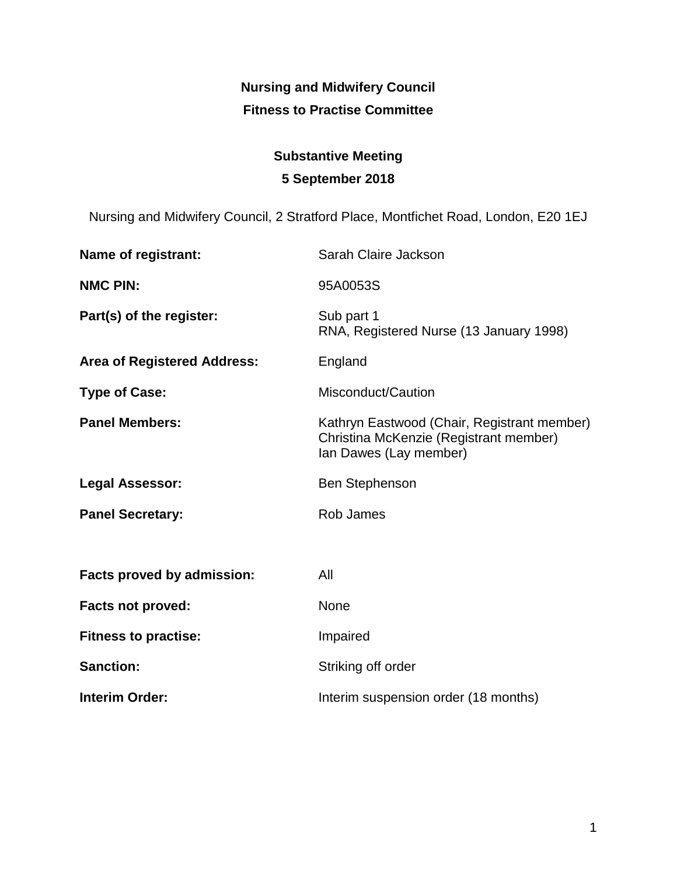# **Nursing and Midwifery Council Fitness to Practise Committee**

# **Substantive Meeting 5 September 2018**

Nursing and Midwifery Council, 2 Stratford Place, Montfichet Road, London, E20 1EJ

| Name of registrant:                | Sarah Claire Jackson                                                                                            |
|------------------------------------|-----------------------------------------------------------------------------------------------------------------|
| <b>NMC PIN:</b>                    | 95A0053S                                                                                                        |
| Part(s) of the register:           | Sub part 1<br>RNA, Registered Nurse (13 January 1998)                                                           |
| <b>Area of Registered Address:</b> | England                                                                                                         |
| <b>Type of Case:</b>               | Misconduct/Caution                                                                                              |
| <b>Panel Members:</b>              | Kathryn Eastwood (Chair, Registrant member)<br>Christina McKenzie (Registrant member)<br>Ian Dawes (Lay member) |
| <b>Legal Assessor:</b>             | <b>Ben Stephenson</b>                                                                                           |
| <b>Panel Secretary:</b>            | Rob James                                                                                                       |
|                                    |                                                                                                                 |
| <b>Facts proved by admission:</b>  | All                                                                                                             |
| Facts not proved:                  | None                                                                                                            |
| <b>Fitness to practise:</b>        | Impaired                                                                                                        |
| <b>Sanction:</b>                   | Striking off order                                                                                              |
| <b>Interim Order:</b>              | Interim suspension order (18 months)                                                                            |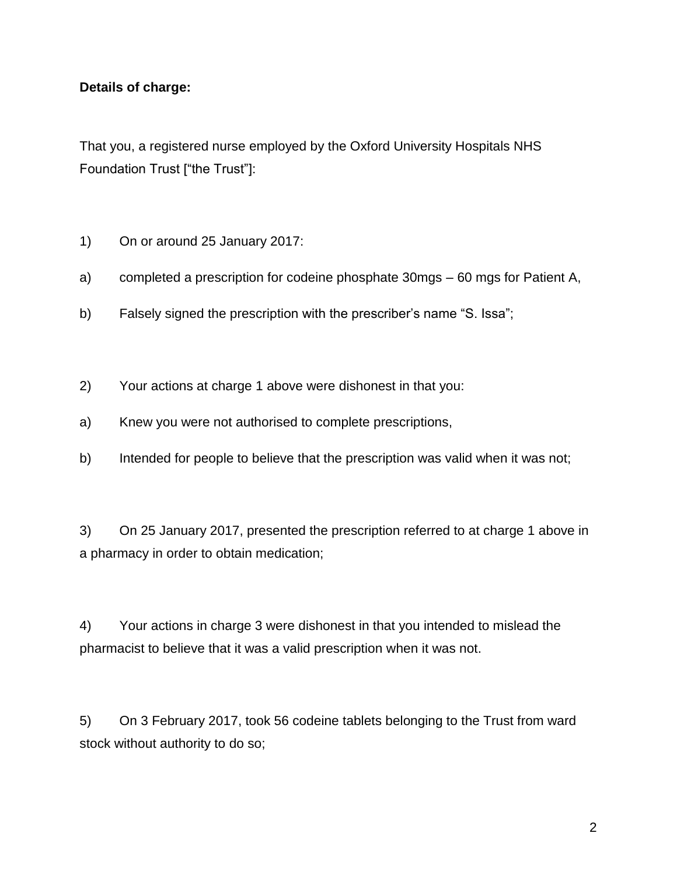# **Details of charge:**

That you, a registered nurse employed by the Oxford University Hospitals NHS Foundation Trust ["the Trust"]:

- 1) On or around 25 January 2017:
- a) completed a prescription for codeine phosphate 30mgs 60 mgs for Patient A,
- b) Falsely signed the prescription with the prescriber's name "S. Issa";
- 2) Your actions at charge 1 above were dishonest in that you:
- a) Knew you were not authorised to complete prescriptions,
- b) Intended for people to believe that the prescription was valid when it was not;

3) On 25 January 2017, presented the prescription referred to at charge 1 above in a pharmacy in order to obtain medication;

4) Your actions in charge 3 were dishonest in that you intended to mislead the pharmacist to believe that it was a valid prescription when it was not.

5) On 3 February 2017, took 56 codeine tablets belonging to the Trust from ward stock without authority to do so;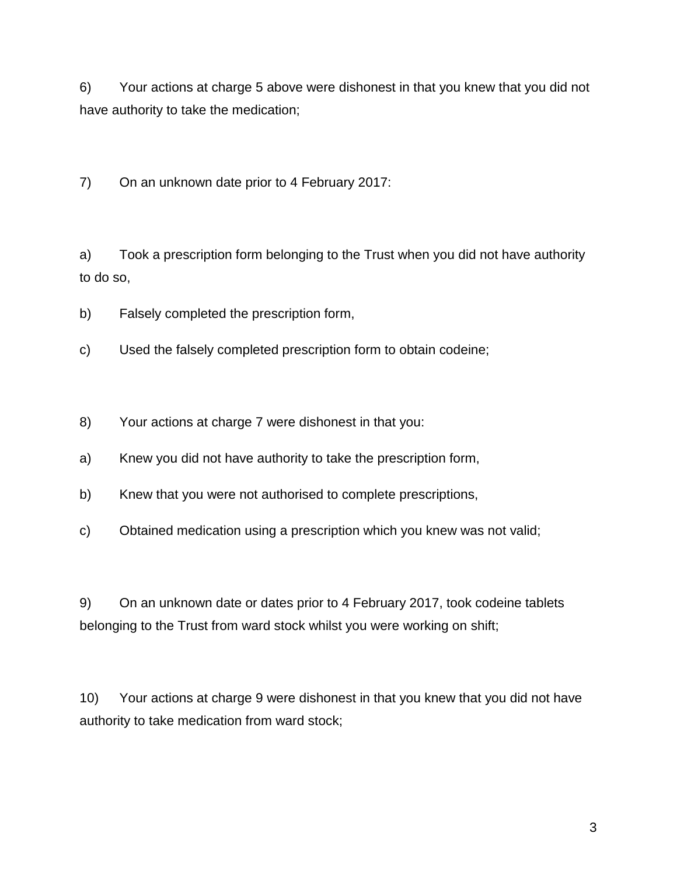6) Your actions at charge 5 above were dishonest in that you knew that you did not have authority to take the medication;

7) On an unknown date prior to 4 February 2017:

a) Took a prescription form belonging to the Trust when you did not have authority to do so,

- b) Falsely completed the prescription form,
- c) Used the falsely completed prescription form to obtain codeine;
- 8) Your actions at charge 7 were dishonest in that you:
- a) Knew you did not have authority to take the prescription form,
- b) Knew that you were not authorised to complete prescriptions,
- c) Obtained medication using a prescription which you knew was not valid;

9) On an unknown date or dates prior to 4 February 2017, took codeine tablets belonging to the Trust from ward stock whilst you were working on shift;

10) Your actions at charge 9 were dishonest in that you knew that you did not have authority to take medication from ward stock;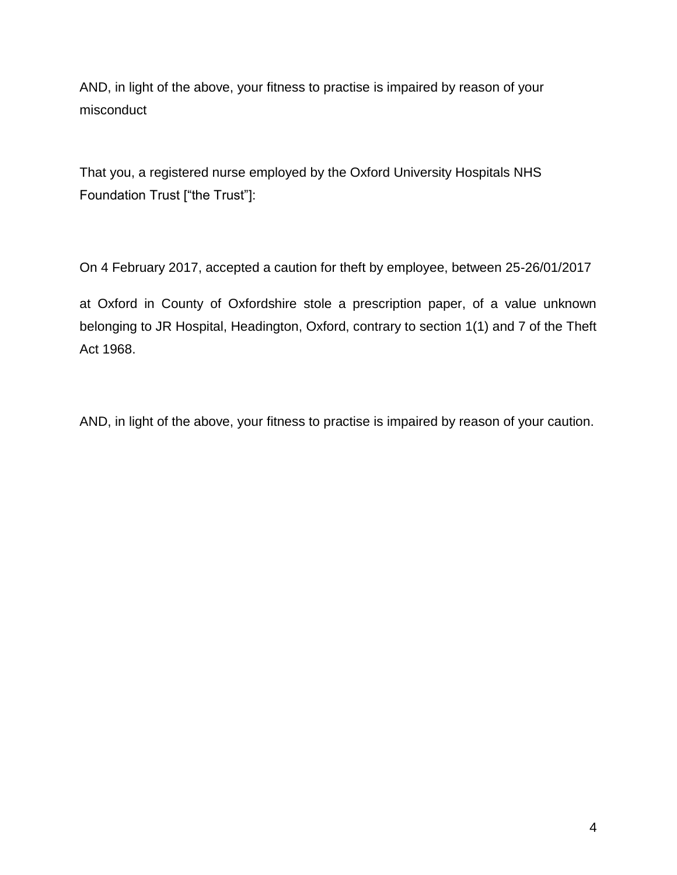AND, in light of the above, your fitness to practise is impaired by reason of your misconduct

That you, a registered nurse employed by the Oxford University Hospitals NHS Foundation Trust ["the Trust"]:

On 4 February 2017, accepted a caution for theft by employee, between 25-26/01/2017

at Oxford in County of Oxfordshire stole a prescription paper, of a value unknown belonging to JR Hospital, Headington, Oxford, contrary to section 1(1) and 7 of the Theft Act 1968.

AND, in light of the above, your fitness to practise is impaired by reason of your caution.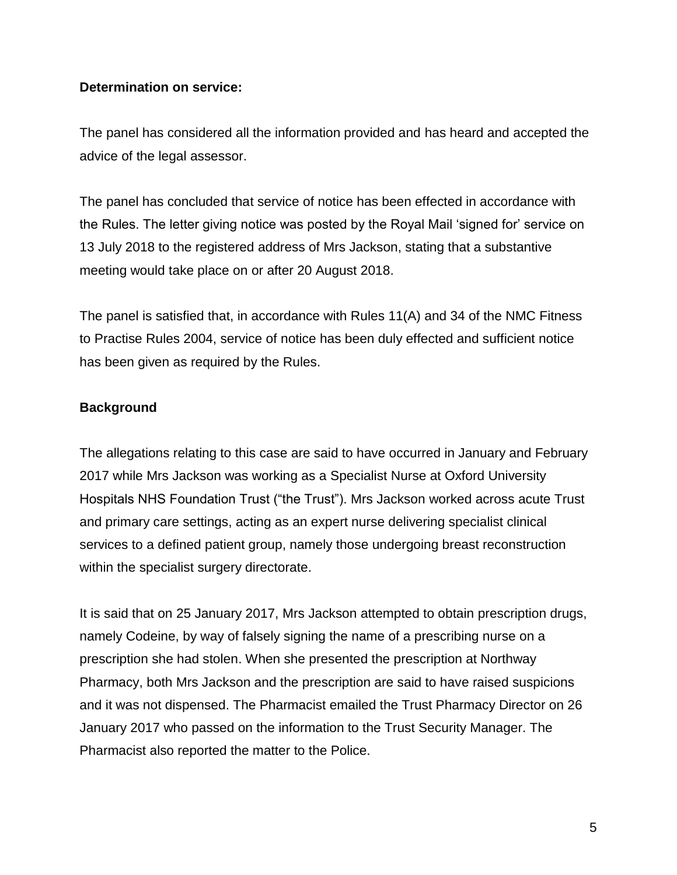#### **Determination on service:**

The panel has considered all the information provided and has heard and accepted the advice of the legal assessor.

The panel has concluded that service of notice has been effected in accordance with the Rules. The letter giving notice was posted by the Royal Mail 'signed for' service on 13 July 2018 to the registered address of Mrs Jackson, stating that a substantive meeting would take place on or after 20 August 2018.

The panel is satisfied that, in accordance with Rules 11(A) and 34 of the NMC Fitness to Practise Rules 2004, service of notice has been duly effected and sufficient notice has been given as required by the Rules.

# **Background**

The allegations relating to this case are said to have occurred in January and February 2017 while Mrs Jackson was working as a Specialist Nurse at Oxford University Hospitals NHS Foundation Trust ("the Trust"). Mrs Jackson worked across acute Trust and primary care settings, acting as an expert nurse delivering specialist clinical services to a defined patient group, namely those undergoing breast reconstruction within the specialist surgery directorate.

It is said that on 25 January 2017, Mrs Jackson attempted to obtain prescription drugs, namely Codeine, by way of falsely signing the name of a prescribing nurse on a prescription she had stolen. When she presented the prescription at Northway Pharmacy, both Mrs Jackson and the prescription are said to have raised suspicions and it was not dispensed. The Pharmacist emailed the Trust Pharmacy Director on 26 January 2017 who passed on the information to the Trust Security Manager. The Pharmacist also reported the matter to the Police.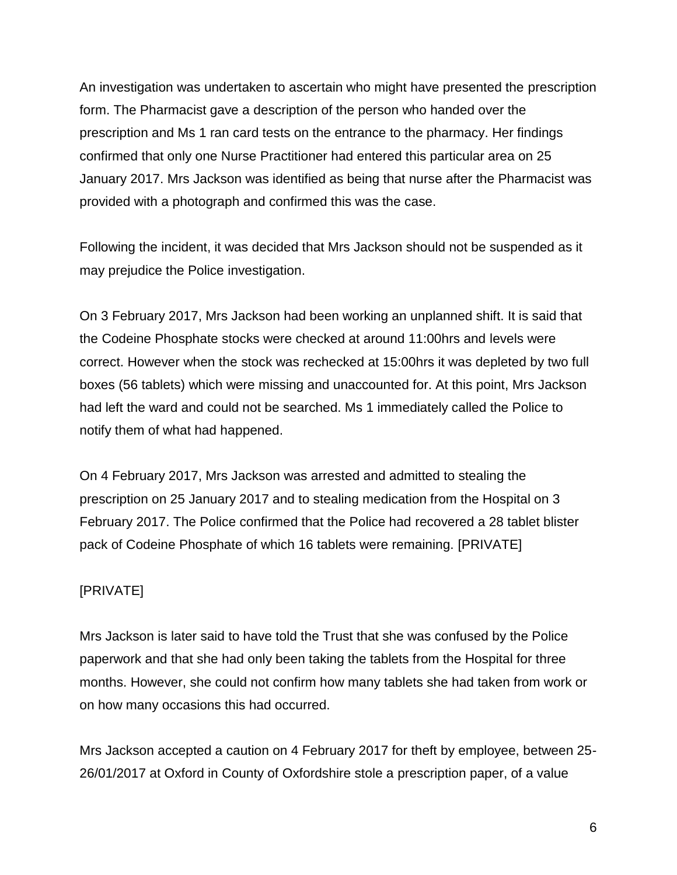An investigation was undertaken to ascertain who might have presented the prescription form. The Pharmacist gave a description of the person who handed over the prescription and Ms 1 ran card tests on the entrance to the pharmacy. Her findings confirmed that only one Nurse Practitioner had entered this particular area on 25 January 2017. Mrs Jackson was identified as being that nurse after the Pharmacist was provided with a photograph and confirmed this was the case.

Following the incident, it was decided that Mrs Jackson should not be suspended as it may prejudice the Police investigation.

On 3 February 2017, Mrs Jackson had been working an unplanned shift. It is said that the Codeine Phosphate stocks were checked at around 11:00hrs and levels were correct. However when the stock was rechecked at 15:00hrs it was depleted by two full boxes (56 tablets) which were missing and unaccounted for. At this point, Mrs Jackson had left the ward and could not be searched. Ms 1 immediately called the Police to notify them of what had happened.

On 4 February 2017, Mrs Jackson was arrested and admitted to stealing the prescription on 25 January 2017 and to stealing medication from the Hospital on 3 February 2017. The Police confirmed that the Police had recovered a 28 tablet blister pack of Codeine Phosphate of which 16 tablets were remaining. [PRIVATE]

# [PRIVATE]

Mrs Jackson is later said to have told the Trust that she was confused by the Police paperwork and that she had only been taking the tablets from the Hospital for three months. However, she could not confirm how many tablets she had taken from work or on how many occasions this had occurred.

Mrs Jackson accepted a caution on 4 February 2017 for theft by employee, between 25- 26/01/2017 at Oxford in County of Oxfordshire stole a prescription paper, of a value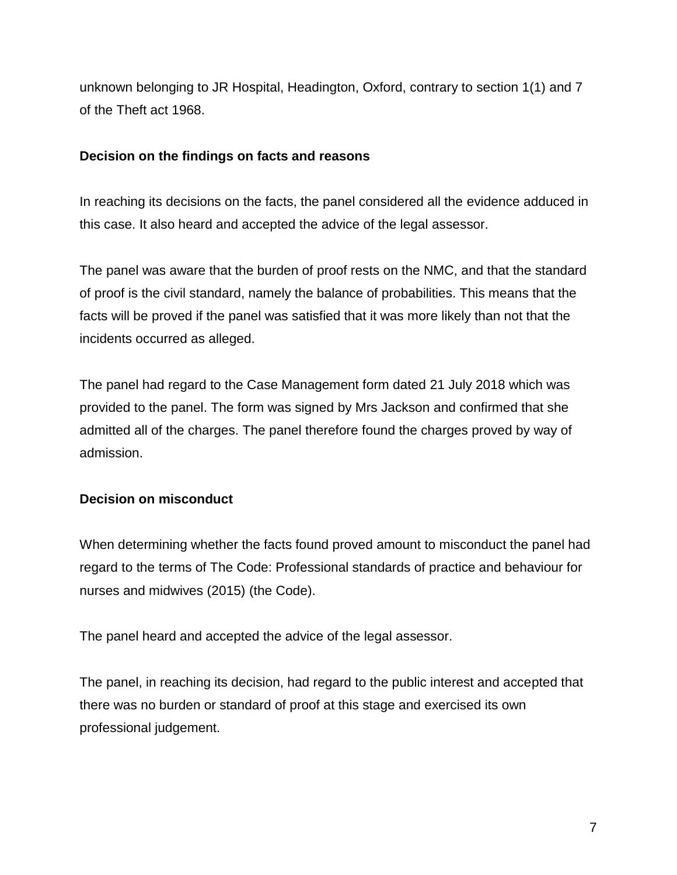unknown belonging to JR Hospital, Headington, Oxford, contrary to section 1(1) and 7 of the Theft act 1968.

# **Decision on the findings on facts and reasons**

In reaching its decisions on the facts, the panel considered all the evidence adduced in this case. It also heard and accepted the advice of the legal assessor.

The panel was aware that the burden of proof rests on the NMC, and that the standard of proof is the civil standard, namely the balance of probabilities. This means that the facts will be proved if the panel was satisfied that it was more likely than not that the incidents occurred as alleged.

The panel had regard to the Case Management form dated 21 July 2018 which was provided to the panel. The form was signed by Mrs Jackson and confirmed that she admitted all of the charges. The panel therefore found the charges proved by way of admission.

# **Decision on misconduct**

When determining whether the facts found proved amount to misconduct the panel had regard to the terms of The Code: Professional standards of practice and behaviour for nurses and midwives (2015) (the Code).

The panel heard and accepted the advice of the legal assessor.

The panel, in reaching its decision, had regard to the public interest and accepted that there was no burden or standard of proof at this stage and exercised its own professional judgement.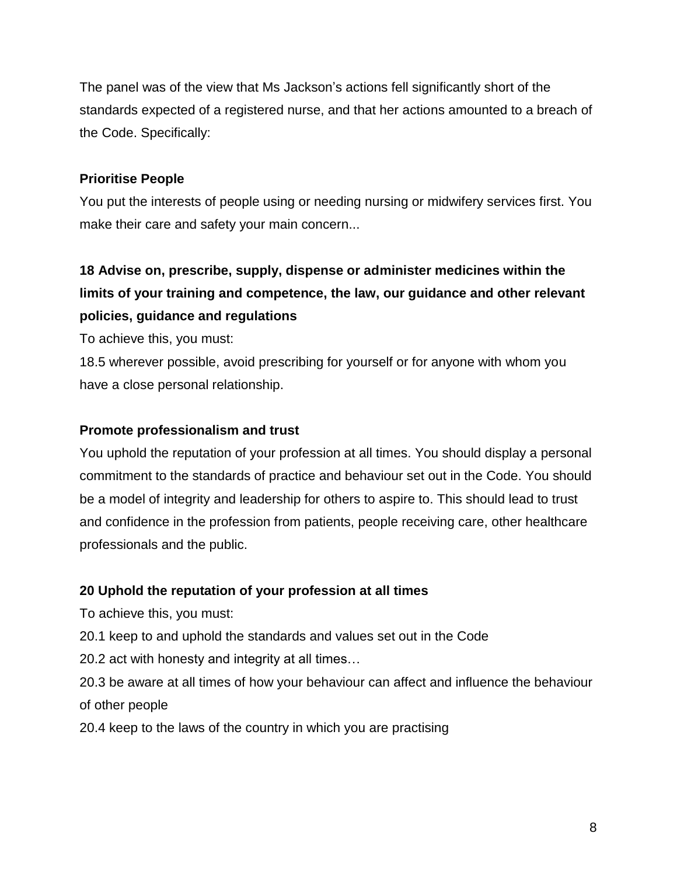The panel was of the view that Ms Jackson's actions fell significantly short of the standards expected of a registered nurse, and that her actions amounted to a breach of the Code. Specifically:

# **Prioritise People**

You put the interests of people using or needing nursing or midwifery services first. You make their care and safety your main concern...

# **18 Advise on, prescribe, supply, dispense or administer medicines within the limits of your training and competence, the law, our guidance and other relevant policies, guidance and regulations**

To achieve this, you must:

18.5 wherever possible, avoid prescribing for yourself or for anyone with whom you have a close personal relationship.

# **Promote professionalism and trust**

You uphold the reputation of your profession at all times. You should display a personal commitment to the standards of practice and behaviour set out in the Code. You should be a model of integrity and leadership for others to aspire to. This should lead to trust and confidence in the profession from patients, people receiving care, other healthcare professionals and the public.

# **20 Uphold the reputation of your profession at all times**

To achieve this, you must:

20.1 keep to and uphold the standards and values set out in the Code

20.2 act with honesty and integrity at all times…

20.3 be aware at all times of how your behaviour can affect and influence the behaviour of other people

20.4 keep to the laws of the country in which you are practising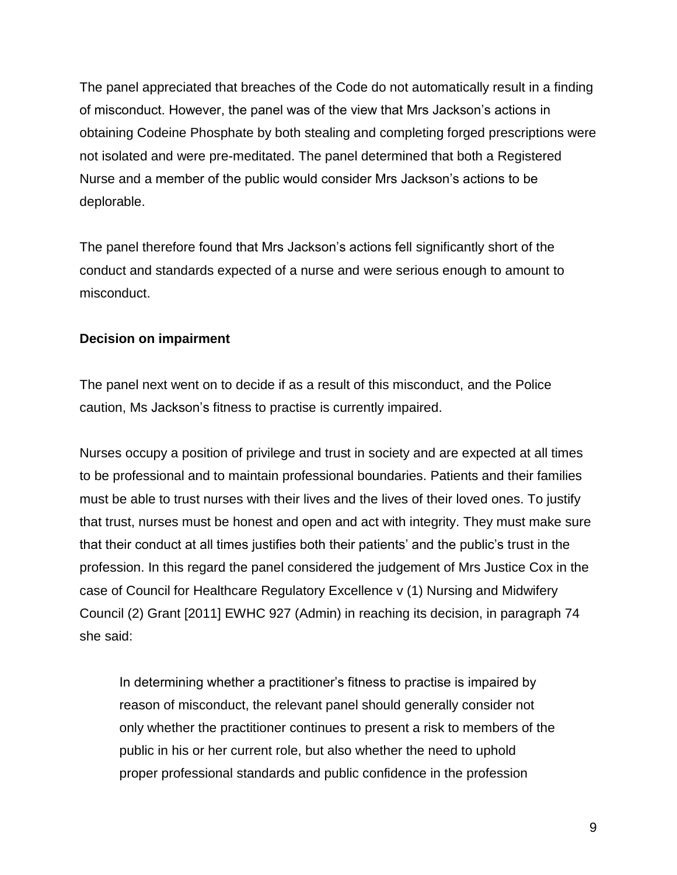The panel appreciated that breaches of the Code do not automatically result in a finding of misconduct. However, the panel was of the view that Mrs Jackson's actions in obtaining Codeine Phosphate by both stealing and completing forged prescriptions were not isolated and were pre-meditated. The panel determined that both a Registered Nurse and a member of the public would consider Mrs Jackson's actions to be deplorable.

The panel therefore found that Mrs Jackson's actions fell significantly short of the conduct and standards expected of a nurse and were serious enough to amount to misconduct.

# **Decision on impairment**

The panel next went on to decide if as a result of this misconduct, and the Police caution, Ms Jackson's fitness to practise is currently impaired.

Nurses occupy a position of privilege and trust in society and are expected at all times to be professional and to maintain professional boundaries. Patients and their families must be able to trust nurses with their lives and the lives of their loved ones. To justify that trust, nurses must be honest and open and act with integrity. They must make sure that their conduct at all times justifies both their patients' and the public's trust in the profession. In this regard the panel considered the judgement of Mrs Justice Cox in the case of Council for Healthcare Regulatory Excellence v (1) Nursing and Midwifery Council (2) Grant [2011] EWHC 927 (Admin) in reaching its decision, in paragraph 74 she said:

In determining whether a practitioner's fitness to practise is impaired by reason of misconduct, the relevant panel should generally consider not only whether the practitioner continues to present a risk to members of the public in his or her current role, but also whether the need to uphold proper professional standards and public confidence in the profession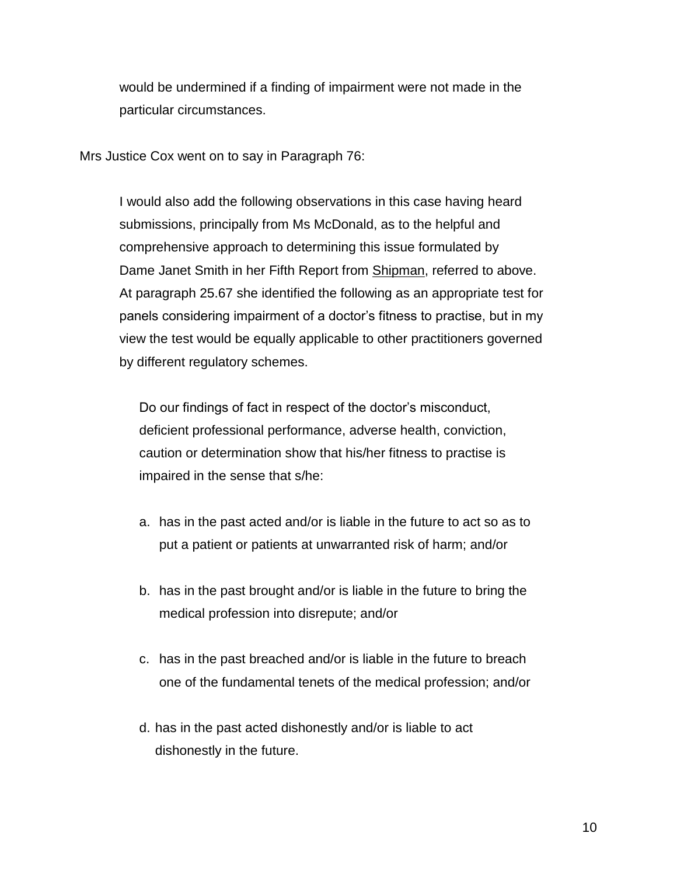would be undermined if a finding of impairment were not made in the particular circumstances.

Mrs Justice Cox went on to say in Paragraph 76:

I would also add the following observations in this case having heard submissions, principally from Ms McDonald, as to the helpful and comprehensive approach to determining this issue formulated by Dame Janet Smith in her Fifth Report from Shipman, referred to above. At paragraph 25.67 she identified the following as an appropriate test for panels considering impairment of a doctor's fitness to practise, but in my view the test would be equally applicable to other practitioners governed by different regulatory schemes.

Do our findings of fact in respect of the doctor's misconduct, deficient professional performance, adverse health, conviction, caution or determination show that his/her fitness to practise is impaired in the sense that s/he:

- a. has in the past acted and/or is liable in the future to act so as to put a patient or patients at unwarranted risk of harm; and/or
- b. has in the past brought and/or is liable in the future to bring the medical profession into disrepute; and/or
- c. has in the past breached and/or is liable in the future to breach one of the fundamental tenets of the medical profession; and/or
- d. has in the past acted dishonestly and/or is liable to act dishonestly in the future.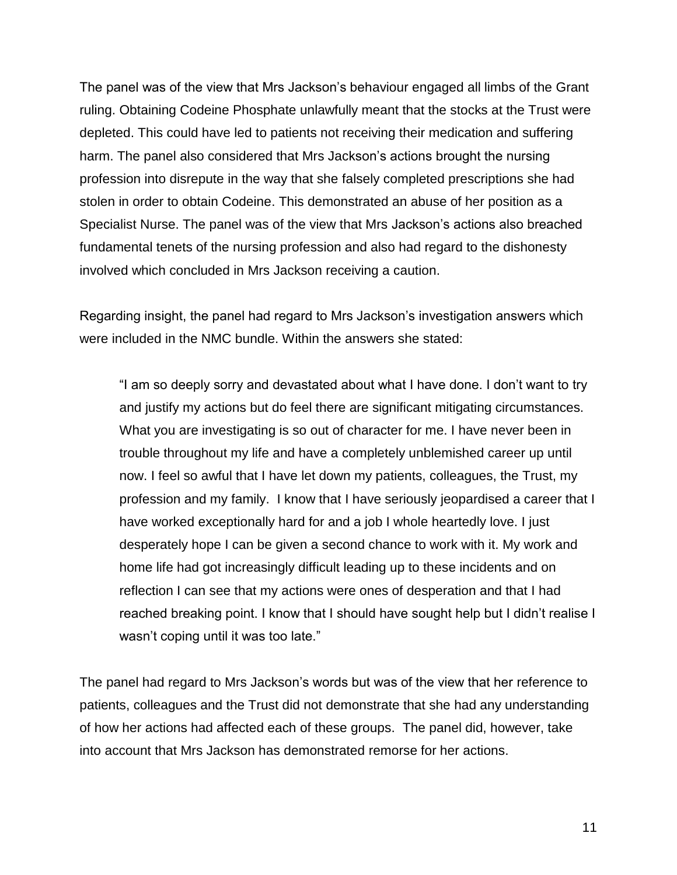The panel was of the view that Mrs Jackson's behaviour engaged all limbs of the Grant ruling. Obtaining Codeine Phosphate unlawfully meant that the stocks at the Trust were depleted. This could have led to patients not receiving their medication and suffering harm. The panel also considered that Mrs Jackson's actions brought the nursing profession into disrepute in the way that she falsely completed prescriptions she had stolen in order to obtain Codeine. This demonstrated an abuse of her position as a Specialist Nurse. The panel was of the view that Mrs Jackson's actions also breached fundamental tenets of the nursing profession and also had regard to the dishonesty involved which concluded in Mrs Jackson receiving a caution.

Regarding insight, the panel had regard to Mrs Jackson's investigation answers which were included in the NMC bundle. Within the answers she stated:

"I am so deeply sorry and devastated about what I have done. I don't want to try and justify my actions but do feel there are significant mitigating circumstances. What you are investigating is so out of character for me. I have never been in trouble throughout my life and have a completely unblemished career up until now. I feel so awful that I have let down my patients, colleagues, the Trust, my profession and my family. I know that I have seriously jeopardised a career that I have worked exceptionally hard for and a job I whole heartedly love. I just desperately hope I can be given a second chance to work with it. My work and home life had got increasingly difficult leading up to these incidents and on reflection I can see that my actions were ones of desperation and that I had reached breaking point. I know that I should have sought help but I didn't realise I wasn't coping until it was too late."

The panel had regard to Mrs Jackson's words but was of the view that her reference to patients, colleagues and the Trust did not demonstrate that she had any understanding of how her actions had affected each of these groups. The panel did, however, take into account that Mrs Jackson has demonstrated remorse for her actions.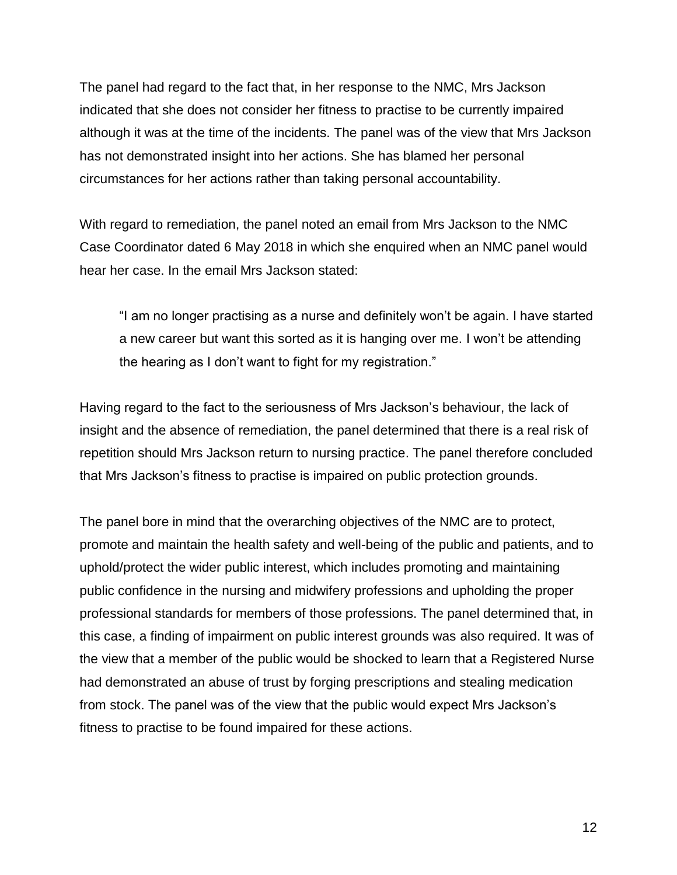The panel had regard to the fact that, in her response to the NMC, Mrs Jackson indicated that she does not consider her fitness to practise to be currently impaired although it was at the time of the incidents. The panel was of the view that Mrs Jackson has not demonstrated insight into her actions. She has blamed her personal circumstances for her actions rather than taking personal accountability.

With regard to remediation, the panel noted an email from Mrs Jackson to the NMC Case Coordinator dated 6 May 2018 in which she enquired when an NMC panel would hear her case. In the email Mrs Jackson stated:

"I am no longer practising as a nurse and definitely won't be again. I have started a new career but want this sorted as it is hanging over me. I won't be attending the hearing as I don't want to fight for my registration."

Having regard to the fact to the seriousness of Mrs Jackson's behaviour, the lack of insight and the absence of remediation, the panel determined that there is a real risk of repetition should Mrs Jackson return to nursing practice. The panel therefore concluded that Mrs Jackson's fitness to practise is impaired on public protection grounds.

The panel bore in mind that the overarching objectives of the NMC are to protect, promote and maintain the health safety and well-being of the public and patients, and to uphold/protect the wider public interest, which includes promoting and maintaining public confidence in the nursing and midwifery professions and upholding the proper professional standards for members of those professions. The panel determined that, in this case, a finding of impairment on public interest grounds was also required. It was of the view that a member of the public would be shocked to learn that a Registered Nurse had demonstrated an abuse of trust by forging prescriptions and stealing medication from stock. The panel was of the view that the public would expect Mrs Jackson's fitness to practise to be found impaired for these actions.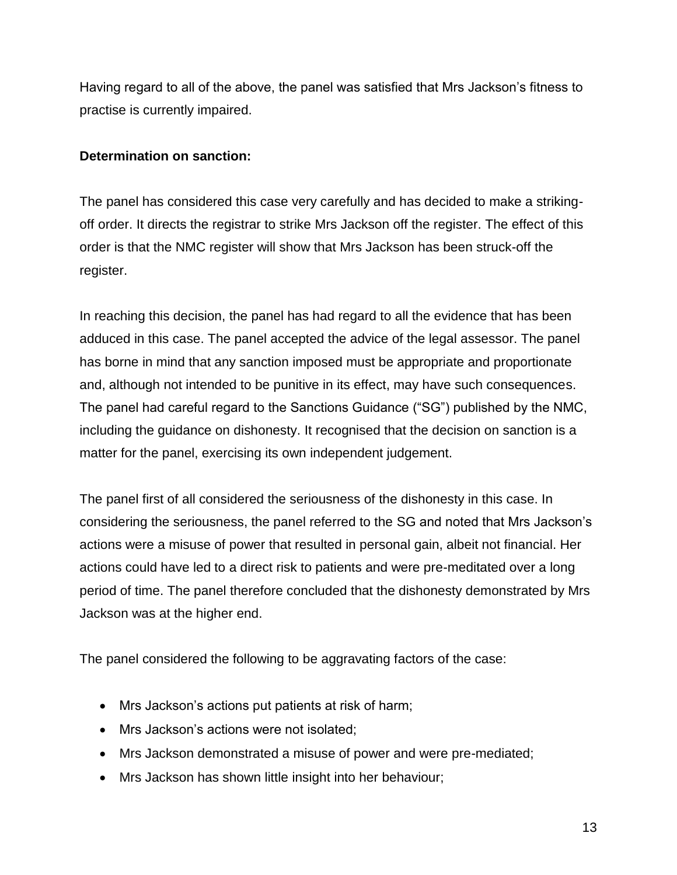Having regard to all of the above, the panel was satisfied that Mrs Jackson's fitness to practise is currently impaired.

# **Determination on sanction:**

The panel has considered this case very carefully and has decided to make a strikingoff order. It directs the registrar to strike Mrs Jackson off the register. The effect of this order is that the NMC register will show that Mrs Jackson has been struck-off the register.

In reaching this decision, the panel has had regard to all the evidence that has been adduced in this case. The panel accepted the advice of the legal assessor. The panel has borne in mind that any sanction imposed must be appropriate and proportionate and, although not intended to be punitive in its effect, may have such consequences. The panel had careful regard to the Sanctions Guidance ("SG") published by the NMC, including the guidance on dishonesty. It recognised that the decision on sanction is a matter for the panel, exercising its own independent judgement.

The panel first of all considered the seriousness of the dishonesty in this case. In considering the seriousness, the panel referred to the SG and noted that Mrs Jackson's actions were a misuse of power that resulted in personal gain, albeit not financial. Her actions could have led to a direct risk to patients and were pre-meditated over a long period of time. The panel therefore concluded that the dishonesty demonstrated by Mrs Jackson was at the higher end.

The panel considered the following to be aggravating factors of the case:

- Mrs Jackson's actions put patients at risk of harm;
- Mrs Jackson's actions were not isolated;
- Mrs Jackson demonstrated a misuse of power and were pre-mediated;
- Mrs Jackson has shown little insight into her behaviour;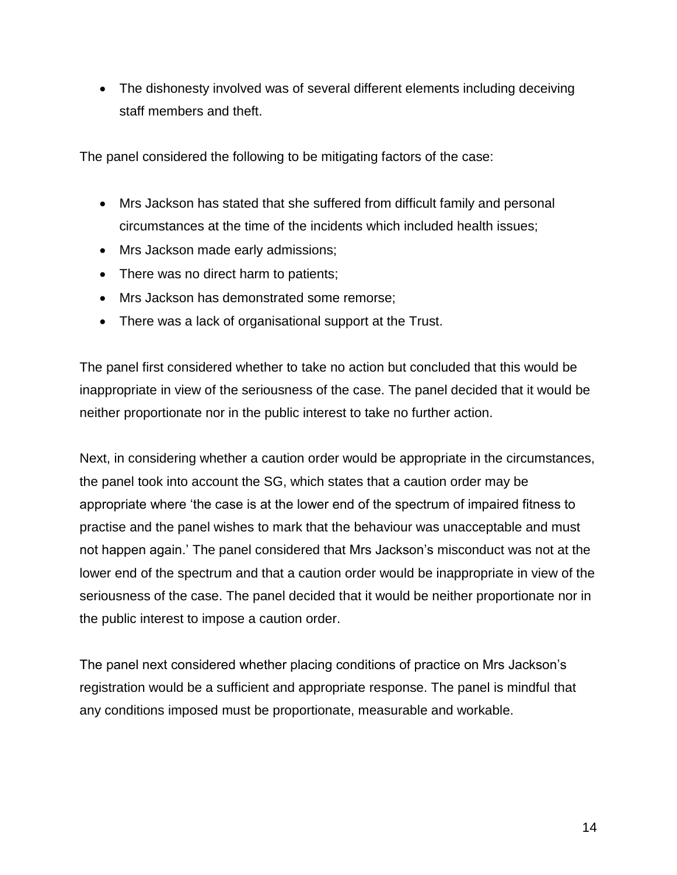The dishonesty involved was of several different elements including deceiving staff members and theft.

The panel considered the following to be mitigating factors of the case:

- Mrs Jackson has stated that she suffered from difficult family and personal circumstances at the time of the incidents which included health issues;
- Mrs Jackson made early admissions;
- There was no direct harm to patients;
- Mrs Jackson has demonstrated some remorse;
- There was a lack of organisational support at the Trust.

The panel first considered whether to take no action but concluded that this would be inappropriate in view of the seriousness of the case. The panel decided that it would be neither proportionate nor in the public interest to take no further action.

Next, in considering whether a caution order would be appropriate in the circumstances, the panel took into account the SG, which states that a caution order may be appropriate where 'the case is at the lower end of the spectrum of impaired fitness to practise and the panel wishes to mark that the behaviour was unacceptable and must not happen again.' The panel considered that Mrs Jackson's misconduct was not at the lower end of the spectrum and that a caution order would be inappropriate in view of the seriousness of the case. The panel decided that it would be neither proportionate nor in the public interest to impose a caution order.

The panel next considered whether placing conditions of practice on Mrs Jackson's registration would be a sufficient and appropriate response. The panel is mindful that any conditions imposed must be proportionate, measurable and workable.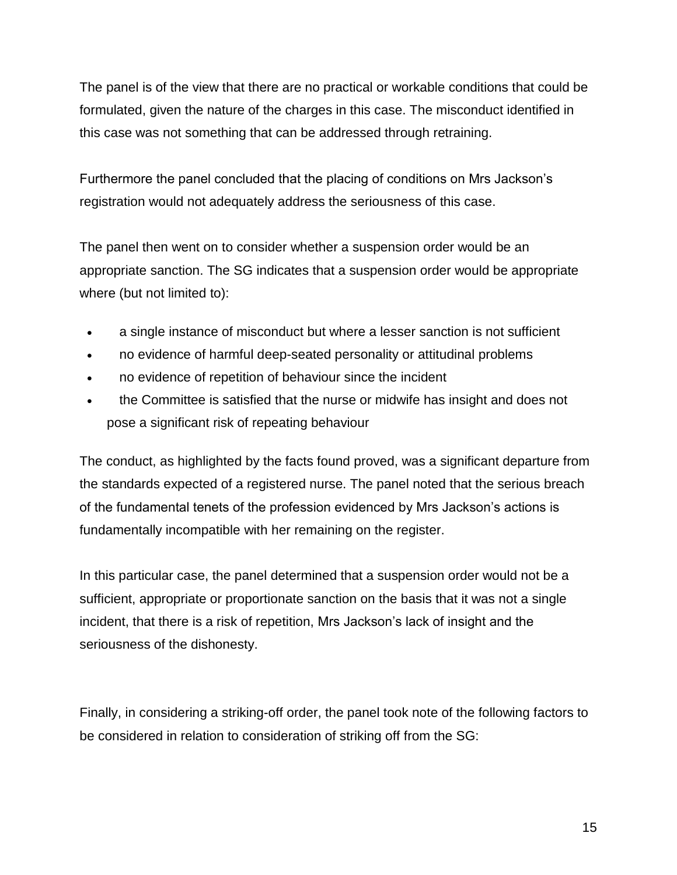The panel is of the view that there are no practical or workable conditions that could be formulated, given the nature of the charges in this case. The misconduct identified in this case was not something that can be addressed through retraining.

Furthermore the panel concluded that the placing of conditions on Mrs Jackson's registration would not adequately address the seriousness of this case.

The panel then went on to consider whether a suspension order would be an appropriate sanction. The SG indicates that a suspension order would be appropriate where (but not limited to):

- a single instance of misconduct but where a lesser sanction is not sufficient
- no evidence of harmful deep-seated personality or attitudinal problems
- no evidence of repetition of behaviour since the incident
- the Committee is satisfied that the nurse or midwife has insight and does not pose a significant risk of repeating behaviour

The conduct, as highlighted by the facts found proved, was a significant departure from the standards expected of a registered nurse. The panel noted that the serious breach of the fundamental tenets of the profession evidenced by Mrs Jackson's actions is fundamentally incompatible with her remaining on the register.

In this particular case, the panel determined that a suspension order would not be a sufficient, appropriate or proportionate sanction on the basis that it was not a single incident, that there is a risk of repetition, Mrs Jackson's lack of insight and the seriousness of the dishonesty.

Finally, in considering a striking-off order, the panel took note of the following factors to be considered in relation to consideration of striking off from the SG: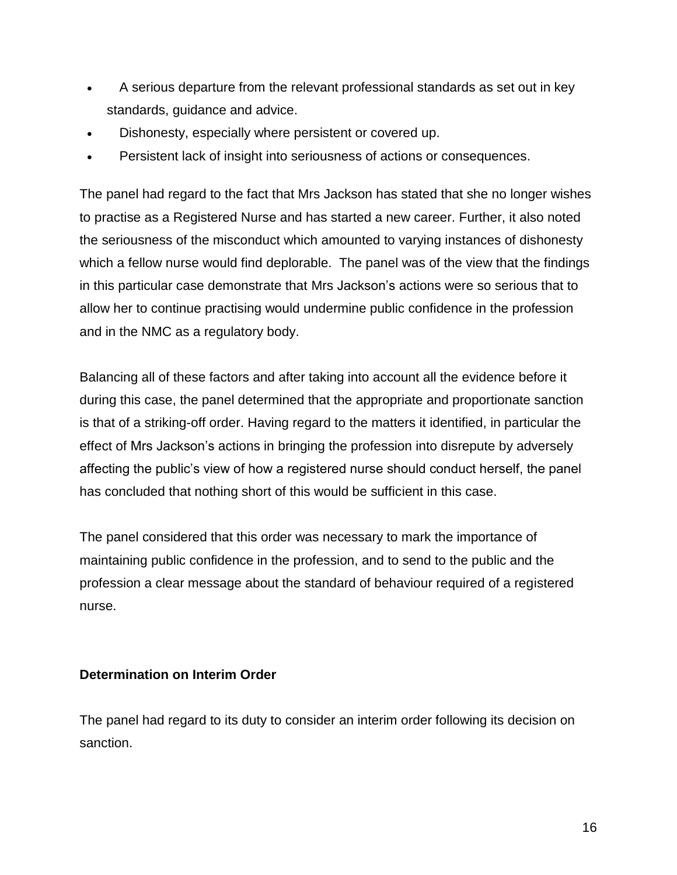- A serious departure from the relevant professional standards as set out in key standards, guidance and advice.
- Dishonesty, especially where persistent or covered up.
- Persistent lack of insight into seriousness of actions or consequences.

The panel had regard to the fact that Mrs Jackson has stated that she no longer wishes to practise as a Registered Nurse and has started a new career. Further, it also noted the seriousness of the misconduct which amounted to varying instances of dishonesty which a fellow nurse would find deplorable. The panel was of the view that the findings in this particular case demonstrate that Mrs Jackson's actions were so serious that to allow her to continue practising would undermine public confidence in the profession and in the NMC as a regulatory body.

Balancing all of these factors and after taking into account all the evidence before it during this case, the panel determined that the appropriate and proportionate sanction is that of a striking-off order. Having regard to the matters it identified, in particular the effect of Mrs Jackson's actions in bringing the profession into disrepute by adversely affecting the public's view of how a registered nurse should conduct herself, the panel has concluded that nothing short of this would be sufficient in this case.

The panel considered that this order was necessary to mark the importance of maintaining public confidence in the profession, and to send to the public and the profession a clear message about the standard of behaviour required of a registered nurse.

# **Determination on Interim Order**

The panel had regard to its duty to consider an interim order following its decision on sanction.